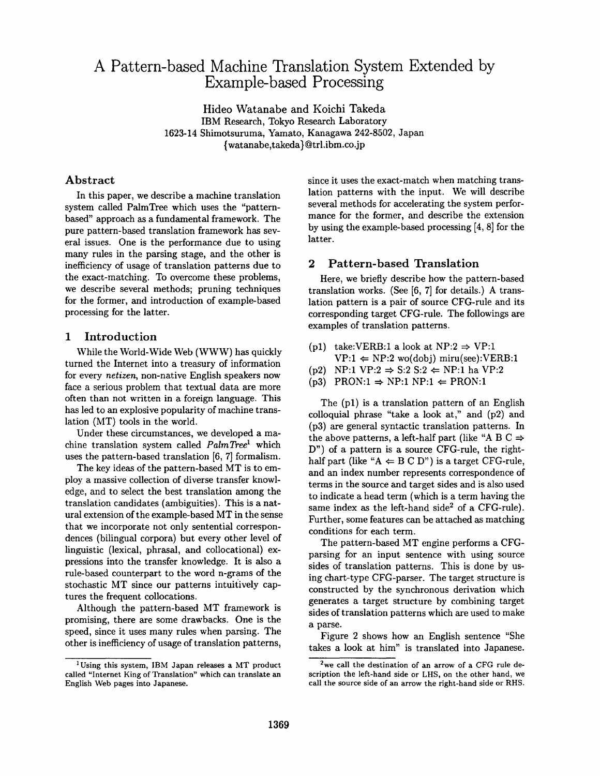# **A Pattern-based Machine Translation System Extended by Example-based Processing**

Hideo Watanabe and Koichi Takeda IBM Research, Tokyo Research Laboratory 1623-14 Shimotsuruma, Yamato, Kanagawa 242-8502, Japan {watanabe,takeda} @trl.ibm.co.jp

## Abstract

In this paper, we describe a machine translation system called PalmTree which uses the "patternbased" approach as a fundamental framework. The pure pattern-based translation framework has several issues. One is the performance due to using many rules in the parsing stage, and the other is inefficiency of usage of translation patterns due to the exact-matching. To overcome these problems, we describe several methods; pruning techniques for the former, and introduction of example-based processing for the latter.

## 1 Introduction

While the World-Wide Web (WWW) has quickly turned the Internet into a treasury of information for every *netizen,* non-native English speakers now face a serious problem that textual data are more often than not written in a foreign language. This has led to an explosive popularity of machine translation (MT) tools in the world.

Under these circumstances, we developed a machine translation system called *PalmTree*<sup>1</sup> which uses the pattern-based translation [6, 7] formalism.

The key ideas of the pattern-based MT is to employ a massive collection of diverse transfer knowledge, and to select the best translation among the translation candidates (ambiguities). This is a natural extension of the example-based MT in the sense that we incorporate not only sentential correspondences (bilingual corpora) but every other level of linguistic (lexical, phrasal, and collocational) expressions into the transfer knowledge. It is also a rule-based counterpart to the word n-grams of the stochastic MT since our patterns intuitively captures the frequent collocations.

Although the pattern-based MT framework is promising, there are some drawbacks. One is the speed, since it uses many rules when parsing. The other is inefficiency of usage of translation patterns,

since it uses the exact-match when matching translation patterns with the input. We will describe several methods for accelerating the system performance for the former, and describe the extension by using the example-based processing [4, 8] for the latter.

## 2 Pattern-based Translation

Here, we briefly describe how the pattern-based translation works. (See [6, 7] for details.) A translation pattern is a pair of source CFG-rule and its corresponding target CFG-rule. The followings are examples of translation patterns.

- (p1) take:VERB:1 a look at NP:2  $\Rightarrow$  VP:1  $VP:1 \leftarrow NP:2 \text{ wo(dobj) miru(see):VERB:1}$
- (p2) NP:1 VP:2  $\Rightarrow$  S:2 S:2  $\Leftarrow$  NP:1 ha VP:2
- $(p3)$  PRON:1  $\Rightarrow$  NP:1 NP:1  $\Leftarrow$  PRON:1

The (pl) is a translation pattern of an English colloquial phrase "take a look at," and (p2) and (p3) are general syntactic translation patterns. In the above patterns, a left-half part (like "A B C  $\Rightarrow$ D") of a pattern is a source CFG-rule, the righthalf part (like " $A \leftarrow B C D$ ") is a target CFG-rule, and an index number represents correspondence of terms in the source and target sides and is also used to indicate a head term (which is a term having the same index as the left-hand side<sup>2</sup> of a CFG-rule). Further, some features can be attached as matching conditions for each term.

The pattern-based MT engine performs a CFGparsing for an input sentence with using source sides of translation patterns. This is done by using chart-type CFG-parser. The target structure is constructed by the synchronous derivation which generates a target structure by combining target sides of translation patterns which are used to make a parse.

Figure 2 shows how an English sentence "She takes a look at him" is translated into Japanese.

<sup>&</sup>lt;sup>1</sup>Using this system, IBM Japan releases a MT product called "Internet King of Translation" which can translate an English Web pages into Japanese.

<sup>&</sup>lt;sup>2</sup>we call the destination of an arrow of a CFG rule description the left-hand side or LHS, on the other hand, we call the source side of an arrow the right-hand side or RHS.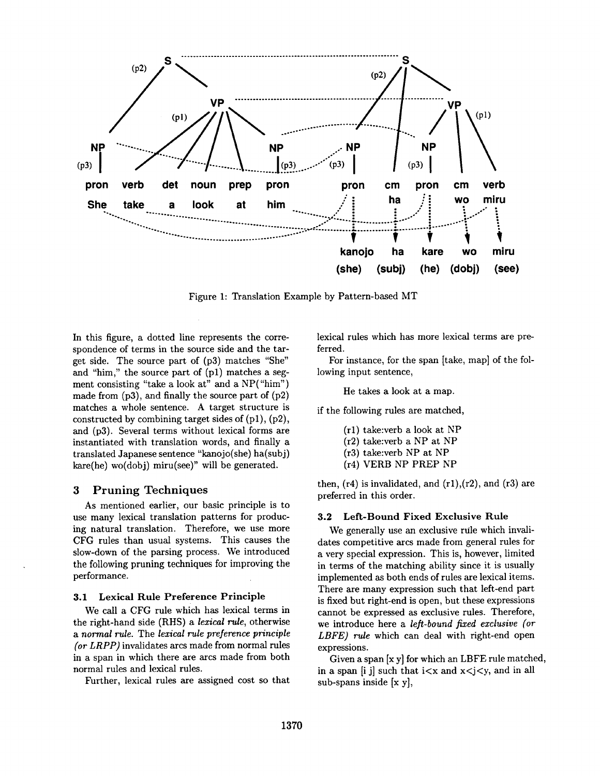

Figure 1: Translation Example by Pattern-based MT

In this figure, a dotted line represents the correspondence of terms in the source side and the target side. The source part of (p3) matches "She" and "him," the source part of (p1) matches a segment consisting "take a look at" and a NP("him") made from  $(p3)$ , and finally the source part of  $(p2)$ matches a whole sentence. A target structure is constructed by combining target sides of  $(p1)$ ,  $(p2)$ , and (p3). Several terms without lexical forms are instantiated with translation words, and finally a translated Japanese sentence "kanojo(she) ha(subj)  $kare(he)$  wo $(dobj)$  miru(see)" will be generated.

#### **Pruning Techniques**  $\bf{3}$

As mentioned earlier, our basic principle is to use many lexical translation patterns for producing natural translation. Therefore, we use more CFG rules than usual systems. This causes the slow-down of the parsing process. We introduced the following pruning techniques for improving the performance.

### 3.1 Lexical Rule Preference Principle

We call a CFG rule which has lexical terms in the right-hand side (RHS) a lexical rule, otherwise a normal rule. The lexical rule preference principle (or LRPP) invalidates arcs made from normal rules in a span in which there are arcs made from both normal rules and lexical rules.

Further, lexical rules are assigned cost so that

lexical rules which has more lexical terms are preferred.

For instance, for the span [take, map] of the following input sentence,

He takes a look at a map.

if the following rules are matched,

- (r1) take:verb a look at NP
- (r2) take:verb a NP at NP
- (r3) take:verb NP at NP
- (r4) VERB NP PREP NP

then,  $(r4)$  is invalidated, and  $(r1)$ ,  $(r2)$ , and  $(r3)$  are preferred in this order.

#### Left-Bound Fixed Exclusive Rule  $3.2$

We generally use an exclusive rule which invalidates competitive arcs made from general rules for a very special expression. This is, however, limited in terms of the matching ability since it is usually implemented as both ends of rules are lexical items. There are many expression such that left-end part is fixed but right-end is open, but these expressions cannot be expressed as exclusive rules. Therefore, we introduce here a left-bound fixed exclusive (or LBFE) rule which can deal with right-end open expressions.

Given a span  $[x, y]$  for which an LBFE rule matched, in a span [i j] such that  $i < x$  and  $x < j < y$ , and in all sub-spans inside  $[x, y]$ ,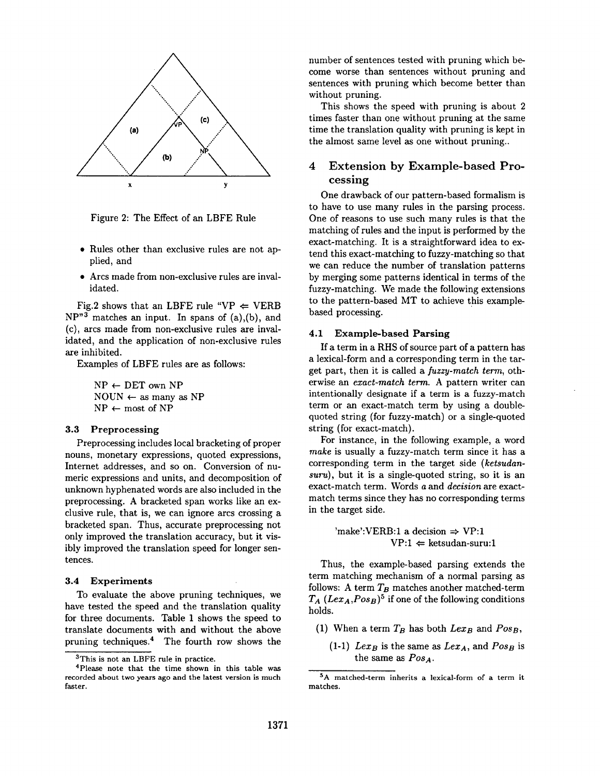

Figure 2: The Effect of an LBFE Rule

- \* Rules other than exclusive rules are not applied, and
- Arcs made from non-exclusive rules are invalidated.

Fig.2 shows that an LBFE rule "VP  $\Leftarrow$  VERB  $NP''<sup>3</sup>$  matches an input. In spans of (a),(b), and (c), arcs made from non-exclusive rules are invalidated, and the application of non-exclusive rules are inhibited.

Examples of LBFE rules are as follows:

 $NP \leftarrow DET$  own  $NP$  $NOUN \leftarrow$  as many as NP  $NP \leftarrow most of NP$ 

#### **3.3 Preproeessing**

Preprocessing includes local bracketing of proper nouns, monetary expressions, quoted expressions, Internet addresses, and so on. Conversion of numeric expressions and units, and decomposition of unknown hyphenated words are also included in the preprocessing. A bracketed span works like an exclusive rule, that is, we can ignore arcs crossing a bracketed span. Thus, accurate preprocessing not only improved the translation accuracy, but it visibly improved the translation speed for longer sentences.

### **3.4 Experiments**

To evaluate the above pruning techniques, we have tested the speed and the translation quality for three documents. Table 1 shows the speed to translate documents with and without the above pruning techniques. 4 The fourth row shows the number of sentences tested with pruning which become worse than sentences without pruning and sentences with pruning which become better than without pruning.

This shows the speed with pruning is about 2 times faster than one without pruning at the same time the translation quality with pruning is kept in the almost same level as one without pruning..

## 4 Extension by Example-based Processing

One drawback of our pattern-based formalism is to have to use many rules in the parsing process. One of reasons to use such many rules is that the matching of rules and the input is performed by the exact-matching. It is a straightforward idea to extend this exact-matching to fuzzy-matching so that we can reduce the number of translation patterns by merging some patterns identical in terms of the fuzzy-matching. We made the following extensions to the pattern-based MT to achieve this examplebased processing.

#### **4.1 Example-based Parsing**

If a term in a RHS of source part of a pattern has a lexical-form and a corresponding term in the target part, then it is called a *fuzzy-match term*, otherwise an *exact-match term.* A pattern writer can intentionally designate if a term is a fuzzy-match term or an exact-match term by using a doublequoted string (for fuzzy-match) or a single-quoted string (for exact-match).

For instance, in the following example, a word *make* is usually a fuzzy-match term since it has a corresponding term in the target side *(ketsudansuru),* but it is a single-quoted string, so it is an exact-match term. Words a and *decision* are exactmatch terms since they has no corresponding terms in the target side.

> 'make':VERB:1 a decision  $\Rightarrow$  VP:1  $VP:1 \leftarrow$  ketsudan-suru:1

Thus, the example-based parsing extends the term matching mechanism of a normal parsing as follows: A term  $T_B$  matches another matched-term  $T_A (Lex_A, Pos_B)^5$  if one of the following conditions holds.

- (1) When a term  $T_B$  has both  $Lex_B$  and  $Pos_B$ ,
	- (1-1)  $Lex_{B}$  is the same as  $Lex_{A}$ , and  $Pos_{B}$  is the same as  $Pos_A$ .

<sup>&</sup>lt;sup>3</sup>This is not an LBFE rule in practice.

<sup>4</sup>please note that the time shown in this table was recorded about two years ago and the latest version is much faster.

<sup>5</sup>A matched-term inherits a lexical-form of a term **it**  matches.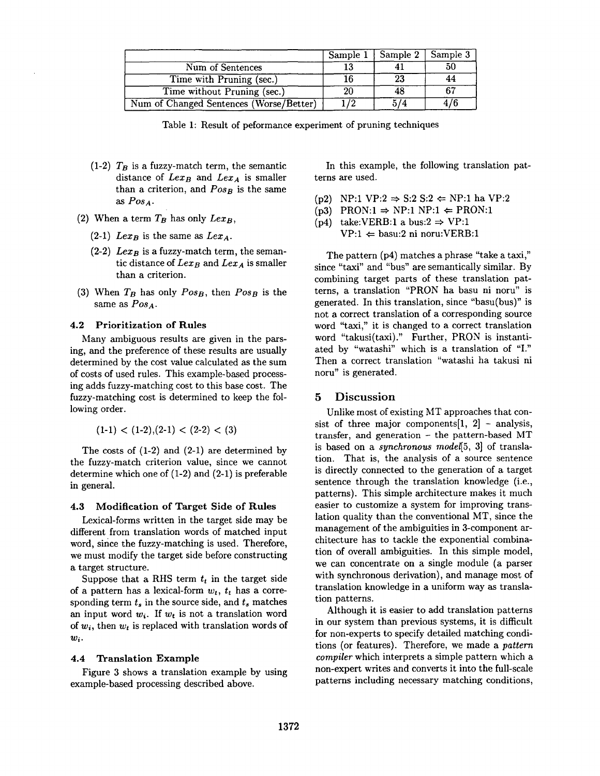|                                         | Sample 1 | Sample 2 | Sample 3 |
|-----------------------------------------|----------|----------|----------|
| Num of Sentences                        |          |          |          |
| Time with Pruning (sec.)                |          | 23       |          |
| Time without Pruning (sec.)             |          | 48       |          |
| Num of Changed Sentences (Worse/Better) | 72       |          |          |

Table 1: Result of peformance experiment of pruning techniques

- (1-2)  $T_B$  is a fuzzy-match term, the semantic distance of  $Lex_{B}$  and  $Lex_{A}$  is smaller than a criterion, and  $Pos_B$  is the same *as ROSA.*
- (2) When a term  $T_B$  has only  $Lex_B$ ,
	- $(2-1)$  *Lex<sub>B</sub>* is the same as *Lex<sub>A</sub>*.
	- $(2-2)$  *Lex<sub>B</sub>* is a fuzzy-match term, the semantic distance of  $Lex_B$  and  $Lex_A$  is smaller than a criterion.
- (3) When  $T_B$  has only  $Pos_B$ , then  $Pos_B$  is the same as  $Pos_A$ .

## **4.2 Prioritization of Rules**

Many ambiguous results are given in the parsing, and the preference of these results are usually determined by the cost value calculated as the sum of costs of used rules. This example-based processing adds fuzzy-matching cost to this base cost. The fuzzy-matching cost is determined to keep the following order.

 $(1-1) < (1-2)$ ,  $(2-1) < (2-2) < (3)$ 

The costs of  $(1-2)$  and  $(2-1)$  are determined by the fuzzy-match criterion value, since we cannot determine which one of (1-2) and (2-1) is preferable in general.

### 4.3 Modification of Target Side of Rules

Lexical-forms written in the target side may be different from translation words of matched input word, since the fuzzy-matching is used. Therefore, we must modify the target side before constructing a target structure.

Suppose that a RHS term  $t_t$  in the target side of a pattern has a lexical-form  $w_t$ ,  $t_t$  has a corresponding term  $t_s$  in the source side, and  $t_s$  matches an input word  $w_i$ . If  $w_t$  is not a translation word of *wi,* then *wt* is replaced with translation words of *wi.* 

## 4.4 Translation Example

Figure 3 shows a translation example by using example-based processing described above.

In this example, the following translation patterns are used.

- (p2) NP:1 VP:2  $\Rightarrow$  S:2 S:2  $\Leftarrow$  NP:1 ha VP:2
- $(p3)$  PRON:1  $\Rightarrow$  NP:1 NP:1  $\Leftarrow$  PRON:1
- (p4) take:VERB:1 a bus:2  $\Rightarrow$  VP:1
	- $VP:1 \leftarrow$  basu:2 ni noru:VERB:1

The pattern (p4) matches a phrase "take a taxi," since "taxi" and "bus" are semantically similar. By combining target parts of these translation patterns, a translation "PRON ha basu ni noru" is generated. In this translation, since "basu(bus)" is not a correct translation of a corresponding source word "taxi," it is changed to a correct translation word "takusi(taxi)." Further, PRON is instantiated by "watashi" which is a translation of "I." Then a correct translation "watashi ha takusi ni noru" is generated.

## 5 Discussion

Unlike most of existing MT approaches that consist of three major components $[1, 2]$  - analysis, transfer, and generation - the pattern-based MT is based on a *synchronous model[5,* 3] of translation. That is, the analysis of a source sentence is directly connected to the generation of a target sentence through the translation knowledge (i.e., patterns). This simple architecture makes it much easier to customize a system for improving translation quality than the conventional MT, since the management of the ambiguities in 3-component architecture has to tackle the exponential combination of overall ambiguities. In this simple model, we can concentrate on a single module (a parser with synchronous derivation), and manage most of translation knowledge in a uniform way as translation patterns.

Although it is easier to add translation patterns in our system than previous systems, it is difficult for non-experts to specify detailed matching conditions (or features). Therefore, we made a *pattern compiler* which interprets a simple pattern which a non-expert writes and converts it into the full-scale patterns including necessary matching conditions,